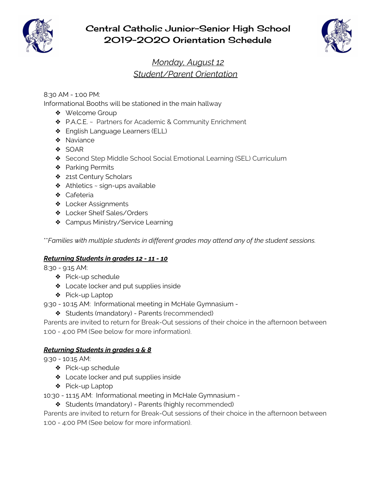

# Central Catholic Junior-Senior High School 2019-2020 Orientation Schedule



# *Monday, August 12 Student/Parent Orientation*

8:30 AM - 1:00 PM:

Informational Booths will be stationed in the main hallway

- ❖ Welcome Group
- ❖ P.A.C.E. ~ Partners for Academic & Community Enrichment
- ❖ English Language Learners (ELL)
- ❖ Naviance
- ❖ SOAR
- ❖ Second Step Middle School Social Emotional Learning (SEL) Curriculum
- ❖ Parking Permits
- ❖ 21st Century Scholars
- $\triangleleft$  Athletics ~ sign-ups available
- ❖ Cafeteria
- ❖ Locker Assignments
- ❖ Locker Shelf Sales/Orders
- ❖ Campus Ministry/Service Learning

\*\**Families with multiple students in different grades may attend any of the student sessions.*

## *Returning Students in grades 12 - 11 - 10*

8:30 - 9:15 AM:

- ❖ Pick-up schedule
- ❖ Locate locker and put supplies inside
- ❖ Pick-up Laptop
- 9:30 10:15 AM: Informational meeting in McHale Gymnasium
	- ❖ Students (mandatory) Parents (recommended)

Parents are invited to return for Break-Out sessions of their choice in the afternoon between 1:00 - 4:00 PM (See below for more information).

#### *Returning Students in grades 9 & 8*

9:30 - 10:15 AM:

- ❖ Pick-up schedule
- ❖ Locate locker and put supplies inside
- ❖ Pick-up Laptop
- 10:30 11:15 AM: Informational meeting in McHale Gymnasium
	- ❖ Students (mandatory) Parents (highly recommended)

Parents are invited to return for Break-Out sessions of their choice in the afternoon between 1:00 - 4:00 PM (See below for more information).